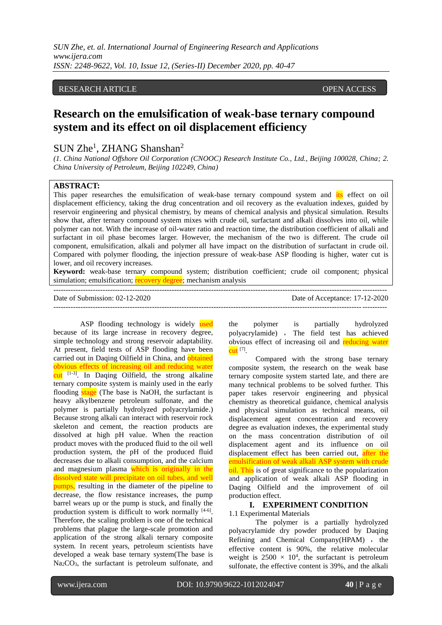### RESEARCH ARTICLE OPEN ACCESS

# **Research on the emulsification of weak-base ternary compound system and its effect on oil displacement efficiency**

# SUN Zhe<sup>1</sup>, ZHANG Shanshan<sup>2</sup>

*(1. China National Offshore Oil Corporation (CNOOC) Research Institute Co., Ltd., Beijing 100028, China; 2. China University of Petroleum, Beijing 102249, China)*

#### **ABSTRACT:**

This paper researches the emulsification of weak-base ternary compound system and its effect on oil displacement efficiency, taking the drug concentration and oil recovery as the evaluation indexes, guided by reservoir engineering and physical chemistry, by means of chemical analysis and physical simulation. Results show that, after ternary compound system mixes with crude oil, surfactant and alkali dissolves into oil, while polymer can not. With the increase of oil-water ratio and reaction time, the distribution coefficient of alkali and surfactant in oil phase becomes larger. However, the mechanism of the two is different. The crude oil component, emulsification, alkali and polymer all have impact on the distribution of surfactant in crude oil. Compared with polymer flooding, the injection pressure of weak-base ASP flooding is higher, water cut is lower, and oil recovery increases.

**Keyword:** weak-base ternary compound system; distribution coefficient; crude oil component; physical simulation; emulsification; recovery degree; mechanism analysis

---------------------------------------------------------------------------------------------------------------------------------------

ASP flooding technology is widely used because of its large increase in recovery degree, simple technology and strong reservoir adaptability. At present, field tests of ASP flooding have been carried out in Daqing Oilfield in China, and obtained obvious effects of increasing oil and reducing water cut [1-3]. In Daqing Oilfield, the strong alkaline ternary composite system is mainly used in the early flooding stage (The base is NaOH, the surfactant is heavy alkylbenzene petroleum sulfonate, and the polymer is partially hydrolyzed polyacrylamide.) Because strong alkali can interact with reservoir rock skeleton and cement, the reaction products are dissolved at high pH value. When the reaction product moves with the produced fluid to the oil well production system, the pH of the produced fluid decreases due to alkali consumption, and the calcium and magnesium plasma which is originally in the dissolved state will precipitate on oil tubes, and well pumps, resulting in the diameter of the pipeline to decrease, the flow resistance increases, the pump barrel wears up or the pump is stuck, and finally the production system is difficult to work normally [4-6]. Therefore, the scaling problem is one of the technical problems that plague the large-scale promotion and application of the strong alkali ternary composite system. In recent years, petroleum scientists have developed a weak base ternary system(The base is Na2CO3, the surfactant is petroleum sulfonate, and

---------------------------------------------------------------------------------------------------------------------------------------

the polymer is partially hydrolyzed polyacrylamide) , The field test has achieved obvious effect of increasing oil and reducing water <mark>cut</mark> [7].

Compared with the strong base ternary composite system, the research on the weak base ternary composite system started late, and there are many technical problems to be solved further. This paper takes reservoir engineering and physical chemistry as theoretical guidance, chemical analysis and physical simulation as technical means, oil displacement agent concentration and recovery degree as evaluation indexes, the experimental study on the mass concentration distribution of oil displacement agent and its influence on oil displacement effect has been carried out, after the emulsification of weak alkali ASP system with crude oil. This is of great significance to the popularization and application of weak alkali ASP flooding in Daqing Oilfield and the improvement of oil production effect.

# **I. EXPERIMENT CONDITION**

1.1 Experimental Materials

The polymer is a partially hydrolyzed polyacrylamide dry powder produced by Daqing Refining and Chemical Company(HPAM) , the effective content is 90%, the relative molecular weight is  $2500 \times 10^4$ , the surfactant is petroleum sulfonate, the effective content is 39%, and the alkali

Date of Submission: 02-12-2020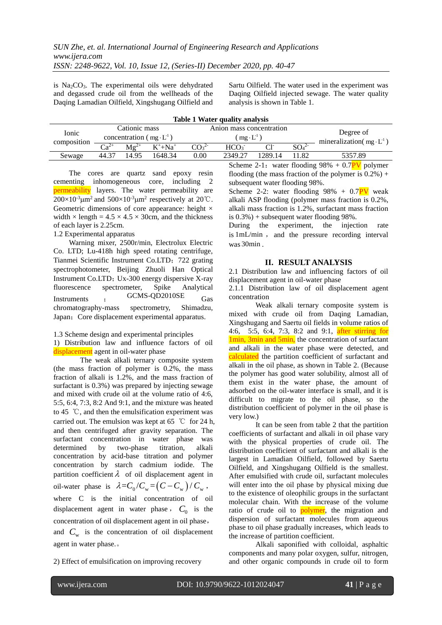is  $Na<sub>2</sub>CO<sub>3</sub>$ . The experimental oils were dehydrated and degassed crude oil from the wellheads of the Daqing Lamadian Oilfield, Xingshugang Oilfield and Sartu Oilfield. The water used in the experiment was Daqing Oilfield injected sewage. The water quality analysis is shown in Table 1.

| Table 1 Water quality analysis |                                  |           |              |                              |                          |                                                  |                              |                                          |
|--------------------------------|----------------------------------|-----------|--------------|------------------------------|--------------------------|--------------------------------------------------|------------------------------|------------------------------------------|
| Ionic<br>composition           | Cationic mass                    |           |              |                              | Anion mass concentration | Degree of<br>mineralization( $mg \cdot L^{-1}$ ) |                              |                                          |
|                                | concentration ( $mg \cdot L^1$ ) |           |              |                              | $(mg \cdot L^{-1})$      |                                                  |                              |                                          |
|                                | $Ca^{2+}$                        | $Mg^{2+}$ | $K^+ + Na^+$ | CO <sub>3</sub> <sup>2</sup> | HCO <sub>3</sub>         | $Cl^-$                                           | SO <sub>4</sub> <sup>2</sup> |                                          |
| Sewage                         | 44.37                            | 14.95     | 1648.34      | 0.00                         | 2349.27                  | 1289.14                                          | 11.82                        | 5357.89                                  |
|                                |                                  |           |              |                              |                          |                                                  |                              | $0.1$ $0.1$ $0.1$ $0.00$ $0.7$ $0.7$ $1$ |

The cores are quartz sand epoxy resin cementing inhomogeneous core, including 2 permeability layers. The water permeability are  $200\times10^{-3}$  $\mu$ m<sup>2</sup> and  $500\times10^{-3}$  $\mu$ m<sup>2</sup> respectively at 20°C. Geometric dimensions of core appearance: height  $\times$ width  $\times$  length = 4.5  $\times$  4.5  $\times$  30cm, and the thickness of each layer is 2.25cm.

1.2 Experimental apparatus

Warning mixer, 2500r/min, Electrolux Electric Co. LTD; Lu-418h high speed rotating centrifuge, Tianmei Scientific Instrument Co.LTD;722 grating spectrophotometer, Beijing Zhuoli Han Optical Instrument Co.LTD; Ux-300 energy dispersive X-ray fluorescence spectrometer, Spike Analytical Instruments ; GCMS-QD2010SE Gas chromatography-mass spectrometry, Shimadzu, Japan; Core displacement experimental apparatus.

1.3 Scheme design and experimental principles

1) Distribution law and influence factors of oil displacement agent in oil-water phase

The weak alkali ternary composite system (the mass fraction of polymer is 0.2%, the mass fraction of alkali is 1.2%, and the mass fraction of surfactant is 0.3%) was prepared by injecting sewage and mixed with crude oil at the volume ratio of 4:6, 5:5, 6:4, 7:3, 8:2 And 9:1, and the mixture was heated to 45 ℃, and then the emulsification experiment was carried out. The emulsion was kept at 65 ℃ for 24 h, and then centrifuged after gravity separation. The surfactant concentration in water phase was determined by two-phase titration, alkali concentration by acid-base titration and polymer concentration by starch cadmium iodide. The partition coefficient  $\lambda$  of oil displacement agent in oil-water phase is  $\lambda = C_0/C_w = (C - C_w) / C_w$ , where C is the initial concentration of oil displacement agent in water phase,  $C_0$  is the concentration of oil displacement agent in oil phase, and  $C_{\rm w}$  is the concentration of oil displacement agent in water phase.。

2) Effect of emulsification on improving recovery

Scheme 2-1: water flooding  $98\% + 0.7PV$  polymer flooding (the mass fraction of the polymer is  $0.2\%$ ) + subsequent water flooding 98%.

Scheme 2-2: water flooding  $98\% + 0.7PV$  weak alkali ASP flooding (polymer mass fraction is 0.2%, alkali mass fraction is 1.2%, surfactant mass fraction is  $0.3\%$ ) + subsequent water flooding 98%.

During the experiment, the injection rate is 1mL/min, and the pressure recording interval was 30min .

#### **II. RESULT ANALYSIS**

2.1 Distribution law and influencing factors of oil displacement agent in oil-water phase

2.1.1 Distribution law of oil displacement agent concentration

Weak alkali ternary composite system is mixed with crude oil from Daqing Lamadian, Xingshugang and Saertu oil fields in volume ratios of 4:6, 5:5, 6:4, 7:3, 8:2 and 9:1, after stirring for 1min, 3min and 5min, the concentration of surfactant and alkali in the water phase were detected, and calculated the partition coefficient of surfactant and alkali in the oil phase, as shown in Table 2. (Because the polymer has good water solubility, almost all of them exist in the water phase, the amount of adsorbed on the oil-water interface is small, and it is difficult to migrate to the oil phase, so the distribution coefficient of polymer in the oil phase is very low.)

It can be seen from table 2 that the partition coefficients of surfactant and alkali in oil phase vary with the physical properties of crude oil. The distribution coefficient of surfactant and alkali is the largest in Lamadian Oilfield, followed by Saertu Oilfield, and Xingshugang Oilfield is the smallest. After emulsified with crude oil, surfactant molecules will enter into the oil phase by physical mixing due to the existence of oleophilic groups in the surfactant molecular chain. With the increase of the volume ratio of crude oil to **polymer**, the migration and dispersion of surfactant molecules from aqueous phase to oil phase gradually increases, which leads to the increase of partition coefficient.

Alkali saponified with colloidal, asphaltic components and many polar oxygen, sulfur, nitrogen, and other organic compounds in crude oil to form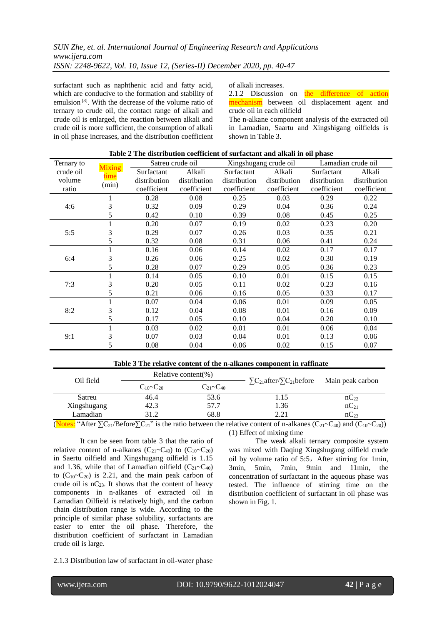surfactant such as naphthenic acid and fatty acid, which are conducive to the formation and stability of emulsion<sup>[8]</sup>. With the decrease of the volume ratio of ternary to crude oil, the contact range of alkali and crude oil is enlarged, the reaction between alkali and crude oil is more sufficient, the consumption of alkali in oil phase increases, and the distribution coefficient

of alkali increases.

2.1.2 Discussion on the difference of action mechanism between oil displacement agent and crude oil in each oilfield

The n-alkane component analysis of the extracted oil in Lamadian, Saartu and Xingshigang oilfields is shown in Table 3.

| Table 2 The distribution coefficient of surfactant and alkali in oil phase |              |                  |              |              |                       |                    |              |  |
|----------------------------------------------------------------------------|--------------|------------------|--------------|--------------|-----------------------|--------------------|--------------|--|
| Ternary to<br><b>Mixing</b>                                                |              | Satreu crude oil |              |              | Xingshugang crude oil | Lamadian crude oil |              |  |
| crude oil                                                                  | time         | Surfactant       | Alkali       | Surfactant   | Alkali                | Surfactant         | Alkali       |  |
| volume                                                                     | (min)        | distribution     | distribution | distribution | distribution          | distribution       | distribution |  |
| ratio                                                                      |              | coefficient      | coefficient  | coefficient  | coefficient           | coefficient        | coefficient  |  |
| 4:6                                                                        |              | 0.28             | 0.08         | 0.25         | 0.03                  | 0.29               | 0.22         |  |
|                                                                            | 3            | 0.32             | 0.09         | 0.29         | 0.04                  | 0.36               | 0.24         |  |
|                                                                            | 5            | 0.42             | 0.10         | 0.39         | 0.08                  | 0.45               | 0.25         |  |
|                                                                            |              | 0.20             | 0.07         | 0.19         | 0.02                  | 0.23               | 0.20         |  |
| 5:5                                                                        | 3            | 0.29             | 0.07         | 0.26         | 0.03                  | 0.35               | 0.21         |  |
|                                                                            | 5            | 0.32             | 0.08         | 0.31         | 0.06                  | 0.41               | 0.24         |  |
|                                                                            | $\mathbf{I}$ | 0.16             | 0.06         | 0.14         | 0.02                  | 0.17               | 0.17         |  |
| 6:4                                                                        | 3            | 0.26             | 0.06         | 0.25         | 0.02                  | 0.30               | 0.19         |  |
|                                                                            | 5            | 0.28             | 0.07         | 0.29         | 0.05                  | 0.36               | 0.23         |  |
|                                                                            |              | 0.14             | 0.05         | 0.10         | 0.01                  | 0.15               | 0.15         |  |
| 7:3                                                                        | 3            | 0.20             | 0.05         | 0.11         | 0.02                  | 0.23               | 0.16         |  |
|                                                                            | 5            | 0.21             | 0.06         | 0.16         | 0.05                  | 0.33               | 0.17         |  |
| 8:2                                                                        |              | 0.07             | 0.04         | 0.06         | 0.01                  | 0.09               | 0.05         |  |
|                                                                            | 3            | 0.12             | 0.04         | 0.08         | 0.01                  | 0.16               | 0.09         |  |
|                                                                            | 5            | 0.17             | 0.05         | 0.10         | 0.04                  | 0.20               | 0.10         |  |
|                                                                            |              | 0.03             | 0.02         | 0.01         | 0.01                  | 0.06               | 0.04         |  |
| 9:1                                                                        | 3            | 0.07             | 0.03         | 0.04         | 0.01                  | 0.13               | 0.06         |  |
|                                                                            | 5            | 0.08             | 0.04         | 0.06         | 0.02                  | 0.15               | 0.07         |  |

| Table 3 The relative content of the n-alkanes component in raffinate |                                            |                     |                                                    |                  |  |  |  |  |
|----------------------------------------------------------------------|--------------------------------------------|---------------------|----------------------------------------------------|------------------|--|--|--|--|
|                                                                      |                                            | Relative content(%) |                                                    |                  |  |  |  |  |
| Oil field                                                            | $C_{21}$ ~ $C_{40}$<br>$C_{10}$ ~ $C_{20}$ |                     | $\sum_{21} \text{after} / \sum_{21} \text{before}$ | Main peak carbon |  |  |  |  |
| Satreu                                                               | 46.4                                       | 53.6                | 1.15                                               | $nC_{22}$        |  |  |  |  |
| Xingshugang                                                          | 42.3                                       | 57.7                | 1.36                                               | $nC_{21}$        |  |  |  |  |
| Lamadian                                                             | 31.2                                       | 68.8                | 221                                                | $nC_{23}$        |  |  |  |  |

(Notes: "After  $\sum C_{21}/\text{Before} \sum C_{21}$ " is the ratio between the relative content of n-alkanes ( $C_{21}$ ~C<sub>40</sub>) and (C<sub>10</sub>~C<sub>20</sub>)) (1) Effect of mixing time

It can be seen from table 3 that the ratio of relative content of n-alkanes  $(C_{21}$ ~C<sub>40</sub>) to  $(C_{10}$ ~C<sub>20</sub>) in Saertu oilfield and Xingshugang oilfield is 1.15 and 1.36, while that of Lamadian oilfield  $(C_{21} \sim C_{40})$ to  $(C_{10}$  $\sim$   $C_{20}$ ) is 2.21, and the main peak carbon of crude oil is  $nC_{23}$ . It shows that the content of heavy components in n-alkanes of extracted oil in Lamadian Oilfield is relatively high, and the carbon chain distribution range is wide. According to the principle of similar phase solubility, surfactants are easier to enter the oil phase. Therefore, the distribution coefficient of surfactant in Lamadian crude oil is large.

2.1.3 Distribution law of surfactant in oil-water phase

The weak alkali ternary composite system was mixed with Daqing Xingshugang oilfield crude oil by volume ratio of 5:5, After stirring for 1min, 3min, 5min, 7min, 9min and 11min, the concentration of surfactant in the aqueous phase was tested. The influence of stirring time on the distribution coefficient of surfactant in oil phase was shown in Fig. 1.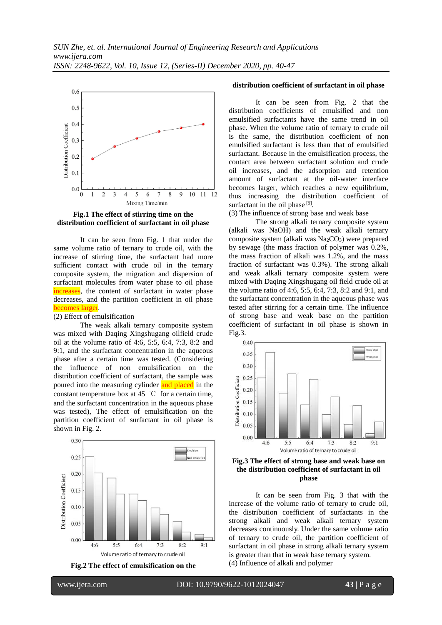

**Fig.1 The effect of stirring time on the distribution coefficient of surfactant in oil phase**

It can be seen from Fig. 1 that under the same volume ratio of ternary to crude oil, with the increase of stirring time, the surfactant had more sufficient contact with crude oil in the ternary composite system, the migration and dispersion of surfactant molecules from water phase to oil phase increases, the content of surfactant in water phase decreases, and the partition coefficient in oil phase becomes larger.

#### (2) Effect of emulsification

The weak alkali ternary composite system was mixed with Daqing Xingshugang oilfield crude oil at the volume ratio of 4:6, 5:5, 6:4, 7:3, 8:2 and 9:1, and the surfactant concentration in the aqueous phase after a certain time was tested. (Considering the influence of non emulsification on the distribution coefficient of surfactant, the sample was poured into the measuring cylinder and placed in the constant temperature box at 45  $\degree$ C for a certain time, and the surfactant concentration in the aqueous phase was tested), The effect of emulsification on the partition coefficient of surfactant in oil phase is shown in Fig. 2.





#### **distribution coefficient of surfactant in oil phase**

It can be seen from Fig. 2 that the distribution coefficients of emulsified and non emulsified surfactants have the same trend in oil phase. When the volume ratio of ternary to crude oil is the same, the distribution coefficient of non emulsified surfactant is less than that of emulsified surfactant. Because in the emulsification process, the contact area between surfactant solution and crude oil increases, and the adsorption and retention amount of surfactant at the oil-water interface becomes larger, which reaches a new equilibrium, thus increasing the distribution coefficient of surfactant in the oil phase [9].

(3) The influence of strong base and weak base

The strong alkali ternary composite system (alkali was NaOH) and the weak alkali ternary composite system (alkali was  $Na<sub>2</sub>CO<sub>3</sub>$ ) were prepared by sewage (the mass fraction of polymer was 0.2%, the mass fraction of alkali was 1.2%, and the mass fraction of surfactant was 0.3%). The strong alkali and weak alkali ternary composite system were mixed with Daqing Xingshugang oil field crude oil at the volume ratio of 4:6, 5:5, 6:4, 7:3, 8:2 and 9:1, and the surfactant concentration in the aqueous phase was tested after stirring for a certain time. The influence of strong base and weak base on the partition coefficient of surfactant in oil phase is shown in Fig.3.

![](_page_3_Figure_12.jpeg)

#### **Fig.3 The effect of strong base and weak base on the distribution coefficient of surfactant in oil phase**

It can be seen from Fig. 3 that with the increase of the volume ratio of ternary to crude oil, the distribution coefficient of surfactants in the strong alkali and weak alkali ternary system decreases continuously. Under the same volume ratio of ternary to crude oil, the partition coefficient of surfactant in oil phase in strong alkali ternary system is greater than that in weak base ternary system. (4) Influence of alkali and polymer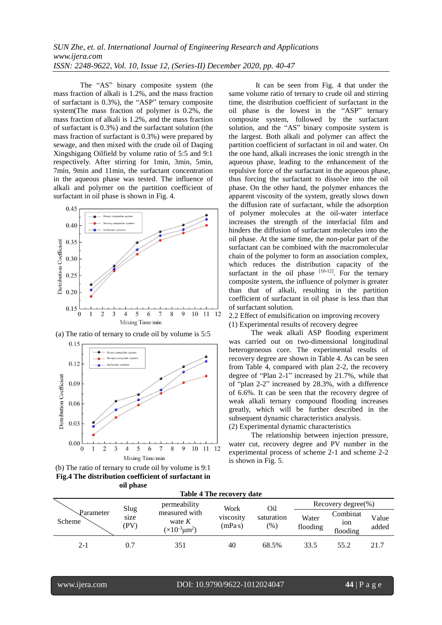The "AS" binary composite system (the mass fraction of alkali is 1.2%, and the mass fraction of surfactant is 0.3%), the "ASP" ternary composite system(The mass fraction of polymer is 0.2%, the mass fraction of alkali is 1.2%, and the mass fraction of surfactant is 0.3%) and the surfactant solution (the mass fraction of surfactant is 0.3%) were prepared by sewage, and then mixed with the crude oil of Daqing Xingshigang Oilfield by volume ratio of 5:5 and 9:1 respectively. After stirring for 1min, 3min, 5min, 7min, 9min and 11min, the surfactant concentration in the aqueous phase was tested. The influence of alkali and polymer on the partition coefficient of surfactant in oil phase is shown in Fig. 4.

![](_page_4_Figure_2.jpeg)

![](_page_4_Figure_3.jpeg)

(a) The ratio of ternary to crude oil by volume is 5:5

(b) The ratio of ternary to crude oil by volume is 9:1 **Fig.4 The distribution coefficient of surfactant in oil phase**

It can be seen from Fig. 4 that under the same volume ratio of ternary to crude oil and stirring time, the distribution coefficient of surfactant in the oil phase is the lowest in the "ASP" ternary composite system, followed by the surfactant solution, and the "AS" binary composite system is the largest. Both alkali and polymer can affect the partition coefficient of surfactant in oil and water. On the one hand, alkali increases the ionic strength in the aqueous phase, leading to the enhancement of the repulsive force of the surfactant in the aqueous phase, thus forcing the surfactant to dissolve into the oil phase. On the other hand, the polymer enhances the apparent viscosity of the system, greatly slows down the diffusion rate of surfactant, while the adsorption of polymer molecules at the oil-water interface increases the strength of the interfacial film and hinders the diffusion of surfactant molecules into the oil phase. At the same time, the non-polar part of the surfactant can be combined with the macromolecular chain of the polymer to form an association complex, which reduces the distribution capacity of the surfactant in the oil phase  $[10-12]$ . For the ternary composite system, the influence of polymer is greater than that of alkali, resulting in the partition coefficient of surfactant in oil phase is less than that of surfactant solution.

2.2 Effect of emulsification on improving recovery (1) Experimental results of recovery degree

The weak alkali ASP flooding experiment was carried out on two-dimensional longitudinal heterogeneous core. The experimental results of recovery degree are shown in Table 4. As can be seen from Table 4, compared with plan 2-2, the recovery degree of "Plan 2-1" increased by 21.7%, while that of "plan 2-2" increased by 28.3%, with a difference of 6.6%. It can be seen that the recovery degree of weak alkali ternary compound flooding increases greatly, which will be further described in the subsequent dynamic characteristics analysis. (2) Experimental dynamic characteristics

The relationship between injection pressure, water cut, recovery degree and PV number in the experimental process of scheme 2-1 and scheme 2-2 is shown in Fig. 5.

| <b>Table 4 The recovery date</b> |              |                                                         |                      |                      |                        |                                         |                |  |
|----------------------------------|--------------|---------------------------------------------------------|----------------------|----------------------|------------------------|-----------------------------------------|----------------|--|
|                                  | Slug         | permeability                                            | Work                 | Oil                  | Recovery degree $(\%)$ |                                         |                |  |
| Parameter<br>Scheme              | size<br>(PV) | measured with<br>wate $K$<br>$(\times 10^{-3} \mu m^2)$ | viscosity<br>(mPa's) | saturation<br>$(\%)$ | Water<br>flooding      | Combinat<br>10 <sub>n</sub><br>flooding | Value<br>added |  |
| $2 - 1$                          | 0.7          | 351                                                     | 40                   | 68.5%                | 33.5                   | 55.2                                    | 21.7           |  |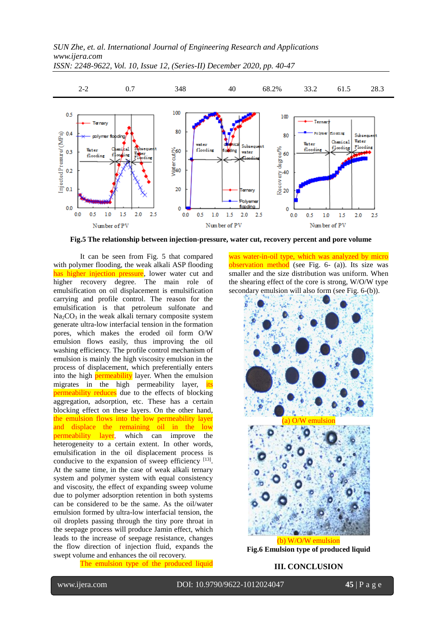![](_page_5_Figure_1.jpeg)

**Fig.5 The relationship between injection-pressure, water cut, recovery percent and pore volume**

It can be seen from Fig. 5 that compared with polymer flooding, the weak alkali ASP flooding has higher injection pressure, lower water cut and higher recovery degree. The main role of emulsification on oil displacement is emulsification carrying and profile control. The reason for the emulsification is that petroleum sulfonate and Na<sub>2</sub>CO<sub>3</sub> in the weak alkali ternary composite system generate ultra-low interfacial tension in the formation pores, which makes the eroded oil form O/W emulsion flows easily, thus improving the oil washing efficiency. The profile control mechanism of emulsion is mainly the high viscosity emulsion in the process of displacement, which preferentially enters into the high permeability layer. When the emulsion migrates in the high permeability layer, its permeability reduces due to the effects of blocking aggregation, adsorption, etc. These has a certain blocking effect on these layers. On the other hand, the emulsion flows into the low permeability layer and displace the remaining oil in the low permeability layer, which can improve the heterogeneity to a certain extent. In other words, emulsification in the oil displacement process is conducive to the expansion of sweep efficiency [13]. At the same time, in the case of weak alkali ternary system and polymer system with equal consistency and viscosity, the effect of expanding sweep volume due to polymer adsorption retention in both systems can be considered to be the same. As the oil/water emulsion formed by ultra-low interfacial tension, the oil droplets passing through the tiny pore throat in the seepage process will produce Jamin effect, which leads to the increase of seepage resistance, changes the flow direction of injection fluid, expands the swept volume and enhances the oil recovery.

The emulsion type of the produced liquid

was water-in-oil type, which was analyzed by micro observation method (see Fig. 6- (a)). Its size was smaller and the size distribution was uniform. When the shearing effect of the core is strong, W/O/W type secondary emulsion will also form (see Fig. 6-(b)).

![](_page_5_Figure_6.jpeg)

**Fig.6 Emulsion type of produced liquid**

**III. CONCLUSION**

l

www.ijera.com DOI: 10.9790/9622-1012024047 **45** | P a g e